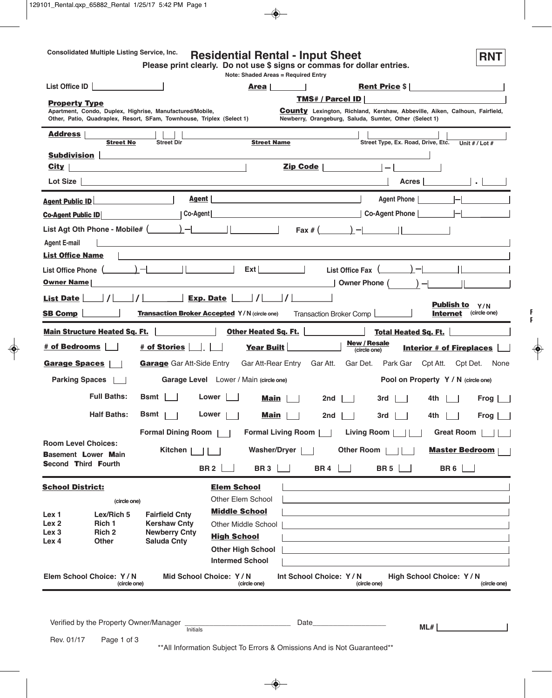# **Consolidated Multiple Listing Service, Inc. RNT Residential Rental - Input Sheet**

**Please print clearly. Do not use \$ signs or commas for dollar entries.**

|                                                                                                                                   |                                                                 | <b>Note: Shaded Areas = Required Entry</b>                                                                            |                                                   |                                                                                                                                             |                                                             |
|-----------------------------------------------------------------------------------------------------------------------------------|-----------------------------------------------------------------|-----------------------------------------------------------------------------------------------------------------------|---------------------------------------------------|---------------------------------------------------------------------------------------------------------------------------------------------|-------------------------------------------------------------|
| List Office ID                                                                                                                    |                                                                 | <b>Area</b>                                                                                                           |                                                   | <b>Rent Price \$</b>                                                                                                                        |                                                             |
| <b>Property Type</b>                                                                                                              |                                                                 |                                                                                                                       | TMS# / Parcel ID                                  |                                                                                                                                             |                                                             |
| Apartment, Condo, Duplex, Highrise, Manufactured/Mobile,<br>Other, Patio, Quadraplex, Resort, SFam, Townhouse, Triplex (Select 1) |                                                                 |                                                                                                                       |                                                   | <b>County</b> Lexington, Richland, Kershaw, Abbeville, Aiken, Calhoun, Fairfield,<br>Newberry, Orangeburg, Saluda, Sumter, Other (Select 1) |                                                             |
| <b>Address</b><br><b>Street No</b>                                                                                                | <b>Street Dir</b>                                               | <b>Street Name</b>                                                                                                    |                                                   | Street Type, Ex. Road, Drive, Etc.                                                                                                          | Unit $#$ / Lot $#$                                          |
| <b>Subdivision</b>                                                                                                                |                                                                 |                                                                                                                       |                                                   |                                                                                                                                             |                                                             |
| City                                                                                                                              |                                                                 |                                                                                                                       | Zip Code                                          |                                                                                                                                             |                                                             |
| <b>Lot Size</b>                                                                                                                   |                                                                 |                                                                                                                       |                                                   | Acres                                                                                                                                       |                                                             |
| <b>Agent Public ID</b>                                                                                                            | Agent                                                           |                                                                                                                       |                                                   | <b>Agent Phone</b>                                                                                                                          |                                                             |
| <b>Co-Agent Public ID</b>                                                                                                         | Co-Agent                                                        |                                                                                                                       |                                                   | <b>Example 20 Agent Phone   Co-Agent Phone  </b>                                                                                            |                                                             |
| List Agt Oth Phone - Mobile# $($ $)$ $  $ $ $                                                                                     |                                                                 |                                                                                                                       |                                                   | $\text{Fax} \# ( ) -    $                                                                                                                   |                                                             |
| <b>Agent E-mail</b><br><b>List Office Name</b>                                                                                    |                                                                 | <u> 1989 - Johann Harry Harry Harry Harry Harry Harry Harry Harry Harry Harry Harry Harry Harry Harry Harry Harry</u> |                                                   |                                                                                                                                             |                                                             |
| List Office Phone (                                                                                                               | $\vert$ $\vert$ $\vert$ $\vert$ $\vert$ $\vert$ $\vert$ $\vert$ | $\mathsf{Ext}$                                                                                                        |                                                   |                                                                                                                                             |                                                             |
| <b>Owner Name</b>                                                                                                                 |                                                                 |                                                                                                                       |                                                   | List Office Fax<br>Owner Phone                                                                                                              |                                                             |
| List Date                                                                                                                         |                                                                 | $\vert$ $\vert$ $\vert$<br>Exp. Date                                                                                  |                                                   |                                                                                                                                             |                                                             |
| <b>SB Comp</b>                                                                                                                    |                                                                 | <b>Transaction Broker Accepted Y/N (circle one)</b>                                                                   | Transaction Broker Comp                           |                                                                                                                                             | <b>Publish to</b><br>Y/N<br>(circle one)<br><b>Internet</b> |
| <b>Main Structure Heated Sq. Ft.</b>                                                                                              |                                                                 | <b>Other Heated Sq. Ft.</b>                                                                                           |                                                   | <b>Total Heated Sq. Ft.</b>                                                                                                                 |                                                             |
| # of Bedrooms                                                                                                                     | # of Stories                                                    | Year Built                                                                                                            |                                                   | <b>New / Resale</b><br>(circle one)                                                                                                         | <b>Interior # of Fireplaces</b>                             |
| <b>Garage Spaces</b>                                                                                                              | <b>Garage</b> Gar Att-Side Entry                                | Gar Att-Rear Entry                                                                                                    | Gar Att.                                          | Gar Det.<br>Park Gar                                                                                                                        | Cpt Att.<br>Cpt Det.<br>None                                |
| <b>Parking Spaces</b>                                                                                                             |                                                                 | Garage Level Lower / Main (circle one)                                                                                |                                                   |                                                                                                                                             | Pool on Property Y / N (circle one)                         |
| <b>Full Baths:</b>                                                                                                                | Bsmt                                                            | Lower<br>Main                                                                                                         | 2nd                                               | 3rd                                                                                                                                         | Frog<br>4th                                                 |
| <b>Half Baths:</b>                                                                                                                | Bsmt                                                            | Lower<br>Main                                                                                                         | 2nd                                               | 3rd                                                                                                                                         | 4th<br>Frog                                                 |
|                                                                                                                                   | <b>Formal Dining Room</b>                                       |                                                                                                                       | <b>Formal Living Room</b>                         | <b>Living Room</b>                                                                                                                          | <b>Great Room</b>                                           |
| <b>Room Level Choices:</b><br><b>Basement Lower Main</b>                                                                          | Kitchen                                                         | Washer/Dryer                                                                                                          |                                                   | <b>Other Room</b>                                                                                                                           | <b>Master Bedroom</b>                                       |
| Second Third Fourth                                                                                                               |                                                                 | <b>BR2</b><br>BR <sub>3</sub>                                                                                         | <b>BR4</b>                                        | <b>BR 5</b>                                                                                                                                 | <b>BR6</b>                                                  |
| <b>School District:</b>                                                                                                           |                                                                 | <b>Elem School</b>                                                                                                    |                                                   |                                                                                                                                             |                                                             |
| (circle one)                                                                                                                      |                                                                 | Other Elem School                                                                                                     |                                                   |                                                                                                                                             |                                                             |
| Lex/Rich 5<br>Lex 1                                                                                                               | <b>Fairfield Cnty</b>                                           | <b>Middle School</b>                                                                                                  |                                                   |                                                                                                                                             |                                                             |
| Lex <sub>2</sub><br>Rich 1                                                                                                        | <b>Kershaw Cnty</b>                                             | <b>Other Middle School</b>                                                                                            |                                                   |                                                                                                                                             |                                                             |
| Rich <sub>2</sub><br>Lex <sub>3</sub><br><b>Other</b><br>Lex 4                                                                    | <b>Newberry Cnty</b><br><b>Saluda Cnty</b>                      | <b>High School</b>                                                                                                    |                                                   |                                                                                                                                             |                                                             |
|                                                                                                                                   |                                                                 | <b>Other High School</b>                                                                                              |                                                   |                                                                                                                                             |                                                             |
|                                                                                                                                   |                                                                 | <b>Intermed School</b>                                                                                                |                                                   |                                                                                                                                             |                                                             |
| Elem School Choice: Y/N<br>(circle one)                                                                                           |                                                                 | Mid School Choice: Y/N<br>(circle one)                                                                                | Int School Choice: Y/N                            | (circle one)                                                                                                                                | High School Choice: Y/N<br>(circle one)                     |
|                                                                                                                                   |                                                                 |                                                                                                                       |                                                   |                                                                                                                                             |                                                             |
|                                                                                                                                   |                                                                 |                                                                                                                       |                                                   |                                                                                                                                             |                                                             |
| Verified by the Property Owner/Manager                                                                                            | Initials                                                        |                                                                                                                       | Date                                              | ML#                                                                                                                                         |                                                             |
| Rev. 01/17<br>Page 1 of 3                                                                                                         |                                                                 |                                                                                                                       | Cubicot To Expert 8 Omioniano And in Not Cupranto |                                                                                                                                             |                                                             |

 $^*$ All Information Subject To Errors & Omissions And is Not Guaranteed $^*$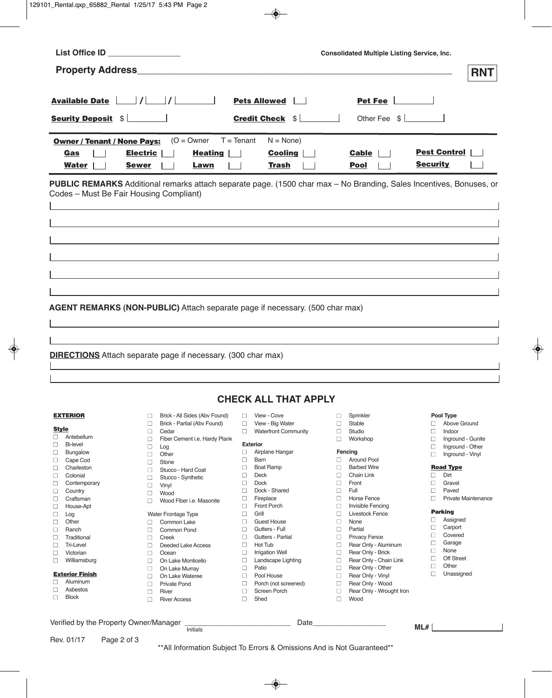| List Office ID ______________           |                                                                                                                            |                                  | <b>Consolidated Multiple Listing Service, Inc.</b> |                          |  |  |  |  |
|-----------------------------------------|----------------------------------------------------------------------------------------------------------------------------|----------------------------------|----------------------------------------------------|--------------------------|--|--|--|--|
|                                         |                                                                                                                            |                                  |                                                    | <b>RNT</b>               |  |  |  |  |
|                                         |                                                                                                                            |                                  |                                                    |                          |  |  |  |  |
|                                         |                                                                                                                            | Pets Allowed                     | Pet Fee $\Box$                                     |                          |  |  |  |  |
| <b>Seurity Deposit \$</b>               |                                                                                                                            | <b>Credit Check \$</b>           | Other Fee $\frac{1}{2}$                            |                          |  |  |  |  |
|                                         |                                                                                                                            |                                  |                                                    |                          |  |  |  |  |
| <b>Owner / Tenant / None Pays:</b>      | $(O = Owner$                                                                                                               | $T = T$ enant<br>$N = None$      |                                                    |                          |  |  |  |  |
| Gas                                     | <b>Electric</b><br><b>Heating</b>                                                                                          | <b>Cooling</b>                   | <b>Cable</b>                                       | <b>Pest Control</b>      |  |  |  |  |
| Water                                   | <b>Sewer</b><br>Lawn                                                                                                       | <b>Trash</b>                     | Pool                                               | <b>Security</b>          |  |  |  |  |
|                                         | <b>PUBLIC REMARKS</b> Additional remarks attach separate page. (1500 char max - No Branding, Sales Incentives, Bonuses, or |                                  |                                                    |                          |  |  |  |  |
| Codes - Must Be Fair Housing Compliant) |                                                                                                                            |                                  |                                                    |                          |  |  |  |  |
|                                         |                                                                                                                            |                                  |                                                    |                          |  |  |  |  |
|                                         |                                                                                                                            |                                  |                                                    |                          |  |  |  |  |
|                                         |                                                                                                                            |                                  |                                                    |                          |  |  |  |  |
|                                         |                                                                                                                            |                                  |                                                    |                          |  |  |  |  |
|                                         |                                                                                                                            |                                  |                                                    |                          |  |  |  |  |
|                                         |                                                                                                                            |                                  |                                                    |                          |  |  |  |  |
|                                         |                                                                                                                            |                                  |                                                    |                          |  |  |  |  |
|                                         |                                                                                                                            |                                  |                                                    |                          |  |  |  |  |
|                                         |                                                                                                                            |                                  |                                                    |                          |  |  |  |  |
|                                         | AGENT REMARKS (NON-PUBLIC) Attach separate page if necessary. (500 char max)                                               |                                  |                                                    |                          |  |  |  |  |
|                                         |                                                                                                                            |                                  |                                                    |                          |  |  |  |  |
|                                         |                                                                                                                            |                                  |                                                    |                          |  |  |  |  |
|                                         |                                                                                                                            |                                  |                                                    |                          |  |  |  |  |
|                                         |                                                                                                                            |                                  |                                                    |                          |  |  |  |  |
|                                         | <b>DIRECTIONS</b> Attach separate page if necessary. (300 char max)                                                        |                                  |                                                    |                          |  |  |  |  |
|                                         |                                                                                                                            |                                  |                                                    |                          |  |  |  |  |
|                                         |                                                                                                                            |                                  |                                                    |                          |  |  |  |  |
|                                         |                                                                                                                            |                                  |                                                    |                          |  |  |  |  |
|                                         |                                                                                                                            | <b>CHECK ALL THAT APPLY</b>      |                                                    |                          |  |  |  |  |
| <b>EXTERIOR</b>                         | Brick - All Sides (Abv Found)<br>□                                                                                         | View - Cove<br>□                 | □<br>Sprinkler                                     | Pool Type                |  |  |  |  |
| <b>Style</b>                            | $\Box$<br>Brick - Partial (Abv Found)                                                                                      | $\Box$<br>View - Big Water       | $\Box$<br>Stable                                   | $\Box$<br>Above Ground   |  |  |  |  |
| Antebellum<br>$\Box$                    | □<br>Cedar                                                                                                                 | <b>Waterfront Community</b><br>□ | $\Box$<br>Studio                                   | □<br>Indoor              |  |  |  |  |
| <b>Bi-level</b><br>$\Box$               | □<br>Fiber Cement i.e. Hardy Plank                                                                                         | <b>Exterior</b>                  | □<br>Workshop                                      | □<br>Inground - Gunite   |  |  |  |  |
| Bungalow<br>□                           | $\Box$<br>Log                                                                                                              | $\Box$<br>Airplane Hangar        | Fencing                                            | Inground - Other<br>□    |  |  |  |  |
| $\Box$<br>Cape Cod                      | □<br>Other<br>□<br>Stone                                                                                                   | □<br>Barn                        | <b>Around Pool</b><br>□                            | Inground - Vinyl<br>□    |  |  |  |  |
| Charleston<br>$\Box$                    | $\Box$<br>Stucco - Hard Coat                                                                                               | $\Box$<br><b>Boat Ramp</b>       | $\Box$<br><b>Barbed Wire</b>                       | <b>Road Type</b>         |  |  |  |  |
| Colonial<br>□                           | □<br>Stucco - Synthetic                                                                                                    | $\Box$<br>Deck                   | $\Box$<br>Chain Link                               | Dirt<br>□                |  |  |  |  |
| Contemporary<br>$\Box$                  | $\Box$<br>Vinyl                                                                                                            | <b>Dock</b><br>□                 | □<br>Front                                         | Gravel<br>□              |  |  |  |  |
| $\Box$<br>Country                       | Wood<br>□                                                                                                                  | Dock - Shared<br>□               | $\Box$<br>Full                                     | Paved<br>□               |  |  |  |  |
| $\Box$<br>Craftsman                     | Wood Fiber i.e. Masonite<br>□                                                                                              | $\Box$<br>Fireplace              | <b>Horse Fence</b><br>$\Box$                       | □<br>Private Maintenance |  |  |  |  |

- nCraftsman
- nHouse-Apt
- Log
- □ Other<br>□ Ranch
- nRanch
- □ Traditional<br>□ Tri-Level
- Tri-Level
- D Victorian
- **■** Williamsburg

## **Exterior Finish**

- **■** Aluminum
- Asbestos
- n Block
- $\Box$  Fireplace
- □ Front Porch
- $\Box$  Grill
- **n** Guest House
- **n** Gutters Full
- Gutters Partial
- $\Box$  Hot Tub
- **■** Irrigation Well n Landscape Lighting
- **■** Patio

Verified by the Property Owner/Manager \_\_\_\_\_\_\_\_\_\_\_\_\_\_\_\_\_\_\_\_\_\_\_\_\_\_ Date\_\_\_\_\_\_\_\_\_\_\_\_\_\_\_\_\_\_

**Initials** 

Water Frontage Type D Common Lake D Common Pond **■** Creek

nDeeded Lake Access

**n** Lake Monticello **n** On Lake Murray nOn Lake Wateree **■** Private Pond

D Ocean

nRiver n River Access

- D Pool House
- **n** Porch (not screened)
- □ Screen Porch
- n Shed
- **n** Horse Fence
- nvisible Fencing
- **n** Livestock Fence
	-
	-
	-
- **n** Rear Only Brick
- Rear Only Chain Link
	- □ Rear Only Other
		-
	- □ Rear Only Wood
	- □ Rear Only Wrought Iron
		-

**ML#**

- n Other
- D Unassigned
- **Parking** n Assigned n Carport
- n Covered
- n Garage  $\square$  None
- n Off Street
	-
	-
- 
- 
- □ None
- n Partial
- **n** Privacy Fence
- Rear Only Aluminum
	-
	-
- **n** Rear Only Vinyl
	-
- n Wood
	-

- 
- 
-